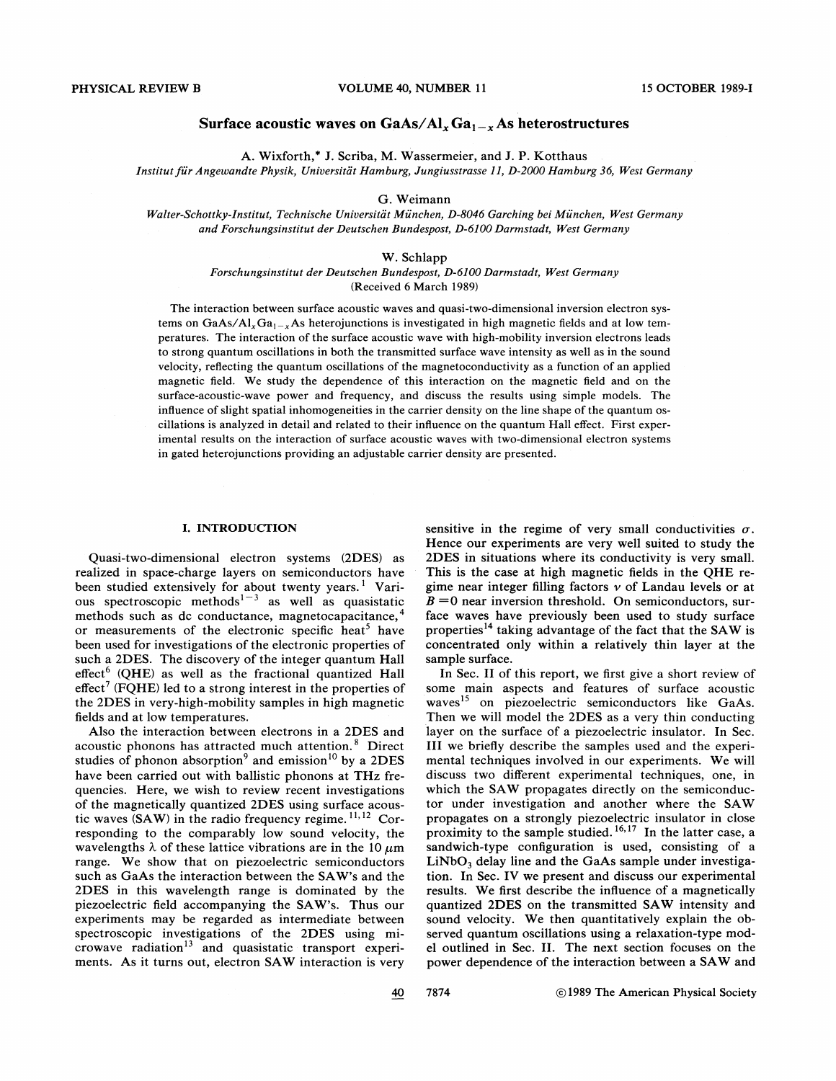# Surface acoustic waves on  $GaAs/Al_xGa_{1-x}As$  heterostructures

A. Wixforth,\* J. Scriba, M. Wassermeier, and J. P. Kotthaus

Institut für Angewandte Physik, Universität Hamburg, Jungiusstrasse 11, D-2000 Hamburg 36, West Germany

# G. Weimann

Falter-Schottky-Institut, Technische Uniuersitat Mu'nchen, D-8046 Garching hei Munchen, West Germany and Forschungsinstitut der Deutschen Bundespost, D-6100 Darmstadt, West Germany

## W. Schlapp

# Forschungsinstitut der Deutschen Bundespost, D-6100 Darmstadt, West Germany (Received 6 March 1989)

The interaction between surface acoustic waves and quasi-two-dimensional inversion electron systems on GaAs/Al<sub>x</sub>Ga<sub>1-x</sub>As heterojunctions is investigated in high magnetic fields and at low temperatures. The interaction of the surface acoustic wave with high-mobility inversion electrons leads to strong quantum oscillations in both the transmitted surface wave intensity as well as in the sound velocity, reflecting the quantum oscillations of the magnetoconductivity as a function of an applied magnetic field. We study the dependence of thip interaction on the magnetic field and on the surface-acoustic-wave power and frequency, and discuss the results using simple models. The inhuence of slight spatial inhomogeneities in the carrier density on the line shape of the quantum oscillations is analyzed in detail and related to their influence on the quantum Hall effect. First experimental results on the interaction of surface acoustic waves with two-dimensional electron systems in gated heterojunctions providing an adjustable carrier density are presented.

# I. INTRODUCTION

Quasi-two-dimensional electron systems (2DES) as realized in space-charge layers on semiconductors have been studied extensively for about twenty years.<sup>1</sup> Various spectroscopic methods<sup> $1-3$ </sup> as well as quasistatic methods such as dc conductance, magnetocapacitance,<sup>4</sup> or measurements of the electronic specific heat<sup>5</sup> have been used for investigations of the electronic properties of such a 2DES. The discovery of the integer quantum Hall  $effect<sup>6</sup>$  (QHE) as well as the fractional quantized Hall effect<sup>7</sup> (FQHE) led to a strong interest in the properties of the 2DES in very-high-mobility samples in high magnetic fields and at low temperatures.

Also the interaction between electrons in a 2DES and acoustic phonons has attracted much attention.<sup>8</sup> Direct studies of phonon absorption<sup>9</sup> and emission<sup>10</sup> by a 2DES have been carried out with ballistic phonons at THz frequencies. Here, we wish to review recent investigations of the magnetically quantized 2DES using surface acoustic waves (SAW) in the radio frequency regime.<sup>11,12</sup> Cortic waves (SAW) in the radio frequency regime.  $^{11,12}$  Corresponding to the comparably low sound velocity, the wavelengths  $\lambda$  of these lattice vibrations are in the 10  $\mu$ m range. We show that on piezoelectric semiconductors such as GaAs the interaction between the SAW's and the 2DES in this wavelength range is dominated by the piezoelectric field accompanying the SAW's. Thus our experiments may be regarded as intermediate between spectroscopic investigations of the 2DES using microwave radiation<sup>13</sup> and quasistatic transport experiments. As it turns out, electron SAW interaction is very sensitive in the regime of very small conductivities  $\sigma$ . Hence our experiments are very well suited to study the 2DES in situations where its conductivity is very small. This is the case at high magnetic fields in the QHE regime near integer filling factors  $\nu$  of Landau levels or at  $B = 0$  near inversion threshold. On semiconductors, surface waves have previously been used to study surface properties<sup>14</sup> taking advantage of the fact that the SAW is concentrated only within a relatively thin layer at the sample surface.

In Sec. II of this report, we first give a short review of some main aspects and features of surface acoustic waves<sup>15</sup> on piezoelectric semiconductors like GaAs. Then we will model the 2DES as a very thin conducting layer on the surface of a piezoelectric insulator. In Sec. III we briefIy describe the samples used and the experimental techniques involved in our experiments. We will discuss two diferent experimental techniques, one, in which the SAW propagates directly on the semiconductor under investigation and another where the SAW propagates on a strongly piezoelectric insulator in close propagates on a strongly piezoelectric insulator in close<br>proximity to the sample studied. <sup>16, 17</sup> In the latter case, a sandwich-type configuration is used, consisting of a  $LiNbO<sub>3</sub>$  delay line and the GaAs sample under investigation. In Sec. IV we present and discuss our experimental results. We first describe the influence of a magnetically quantized 2DES on the transmitted SAW intensity and sound velocity. We then quantitatively explain the observed quantum oscillations using a relaxation-type model outlined in Sec. II. The next section focuses on the power dependence of the interaction between a SAW and

40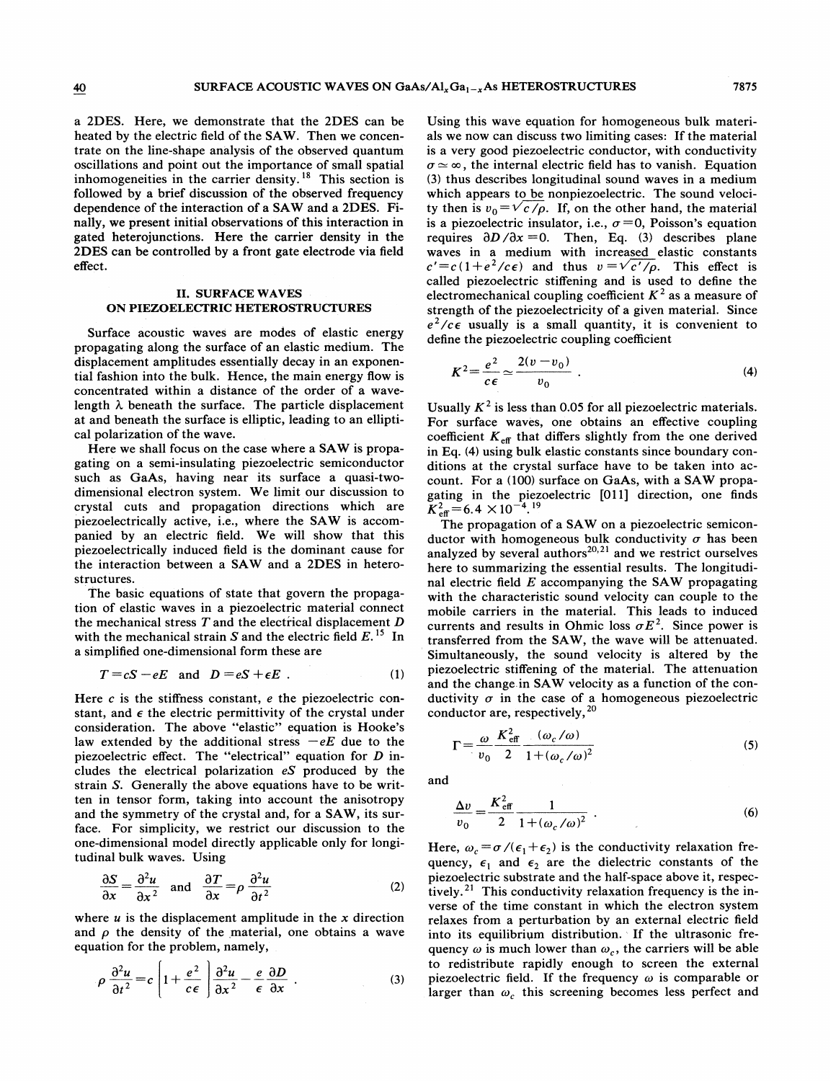a 2DES. Here, we demonstrate that the 2DES can be heated by the electric field of the SAW. Then we concentrate on the line-shape analysis of the observed quantum oscillations and point out the importance of small spatial inhomogeneities in the carrier density.<sup>18</sup> This section is followed by a brief discussion of the observed frequency dependence of the interaction of a SAW and a 2DES. Finally, we present initial observations of this interaction in gated heterojunctions. Here the carrier density in the 2DES can be controlled by a front gate electrode via field effect.

# II. SURFACE WAVES ON PIEZOELECTRIC HETEROSTRUCTURES

Surface acoustic waves are modes of elastic energy propagating along the surface of an elastic medium. The displacement amplitudes essentially decay in an exponential fashion into the bulk. Hence, the main energy flow is concentrated within a distance of the order of a wavelength  $\lambda$  beneath the surface. The particle displacement at and beneath the surface is elliptic, leading to an elliptical polarization of the wave.

Here we shall focus on the case where a SAW is propagating on a semi-insulating piezoelectric semiconductor such as GaAs, having near its surface a quasi-twodimensional electron system. We limit our discussion to crystal cuts and propagation directions which are piezoelectrically active, i.e., where the SAW is accompanied by an electric field. We will show that this piezoelectrically induced field is the dominant cause for the interaction between a SAW and a 2DES in heterostructures.

The basic equations of state that govern the propagation of elastic waves in a piezoelectric material connect the mechanical stress  $T$  and the electrical displacement  $D$ with the mechanical strain S and the electric field  $E$ .<sup>15</sup> In a simplified one-dimensional form these are

$$
T = cS - eE \text{ and } D = eS + \epsilon E . \qquad (1)
$$

Here  $c$  is the stiffness constant,  $e$  the piezoelectric constant, and  $\epsilon$  the electric permittivity of the crystal under consideration. The above "elastic" equation is Hooke's law extended by the additional stress  $-eE$  due to the piezoelectric effect. The "electrical" equation for D includes the electrical polarization eS produced by the strain S. Generally the above equations have to be written in tensor form, taking into account the anisotropy and the symmetry of the crystal and, for a SAW, its surface. For simplicity, we restrict our discussion to the one-dimensional model directly applicable only for longitudinal bulk waves. Using

$$
\frac{\partial S}{\partial x} = \frac{\partial^2 u}{\partial x^2} \quad \text{and} \quad \frac{\partial T}{\partial x} = \rho \frac{\partial^2 u}{\partial t^2} \tag{2}
$$

where  $u$  is the displacement amplitude in the  $x$  direction and  $\rho$  the density of the material, one obtains a wave equation for the problem, namely,

$$
\rho \frac{\partial^2 u}{\partial t^2} = c \left| 1 + \frac{e^2}{c \epsilon} \right| \frac{\partial^2 u}{\partial x^2} - \frac{e}{\epsilon} \frac{\partial D}{\partial x} . \tag{3}
$$

Using this wave equation for homogeneous bulk materials we now can discuss two limiting cases: If the material is a very good piezoelectric conductor, with conductivity  $\sigma \simeq \infty$ , the internal electric field has to vanish. Equation (3) thus describes longitudinal sound waves in a medium which appears to be nonpiezoelectric. The sound velocity then is  $v_0 = \sqrt{c}/\rho$ . If, on the other hand, the material s a piezoelectric insulator, i.e.,  $\sigma = 0$ , Poisson's equation requires  $\partial D / \partial x = 0$ . Then, Eq. (3) describes plane waves in a medium with increased elastic constants  $c' = c(1 + e^2/c\epsilon)$  and thus  $v = \sqrt{c'/\rho}$ . This effect is called piezoelectric stiffening and is used to define the electromechanical coupling coefficient  $K^2$  as a measure of strength of the piezoelectricity of a given material. Since  $e^2/c\epsilon$  usually is a small quantity, it is convenient to define the piezoelectric coupling coefficient

$$
K^2 = \frac{e^2}{c\epsilon} \simeq \frac{2(v - v_0)}{v_0} \ . \tag{4}
$$

Usually  $K^2$  is less than 0.05 for all piezoelectric materials. For surface waves, one obtains an effective coupling coefficient  $K_{\text{eff}}$  that differs slightly from the one derived in Eq. (4) using bulk elastic constants since boundary conditions at the crystal surface have to be taken into account. For a (100) surface on GaAs, with a SAW propagating in the piezoelectric [011] direction, one finds  $K_{\text{eff}}^2 = 6.4 \times 10^{-4}$ .<sup>19</sup>

The propagation of a SAW on a piezoelectric semiconductor with homogeneous bulk conductivity  $\sigma$  has been analyzed by several authors $^{20,21}$  and we restrict ourselves here to summarizing the essential results. The longitudinal electric field  $E$  accompanying the SAW propagating with the characteristic sound velocity can couple to the mobile carriers in the material. This leads to induced currents and results in Ohmic loss  $\sigma E^2$ . Since power is transferred from the SAW, the wave will be attenuated. Simultaneously, the sound velocity is altered by the piezoelectric stiffening of the material. The attenuation and the change. in SAW velocity as a function of the conductivity  $\sigma$  in the case of a homogeneous piezoelectric conductor are, respectively,<sup>20</sup>

$$
\Gamma = \frac{\omega}{v_0} \frac{K_{\text{eff}}^2}{2} \frac{(\omega_c/\omega)}{1 + (\omega_c/\omega)^2}
$$
 (5)

and

$$
\frac{\Delta v}{v_0} = \frac{K_{\text{eff}}^2}{2} \frac{1}{1 + (\omega_c / \omega)^2} \tag{6}
$$

Here,  $\omega_c = \sigma / (\epsilon_1 + \epsilon_2)$  is the conductivity relaxation frequency,  $\epsilon_1$  and  $\epsilon_2$  are the dielectric constants of the piezoelectric substrate and the half-space above it, respectively.<sup>21</sup> This conductivity relaxation frequency is the inverse of the time constant in which the electron system relaxes from a perturbation by an external electric field into its equilibrium distribution. If the ultrasonic frequency  $\omega$  is much lower than  $\omega_c$ , the carriers will be able to redistribute rapidly enough to screen the external piezoelectric field. If the frequency  $\omega$  is comparable or larger than  $\omega_c$  this screening becomes less perfect and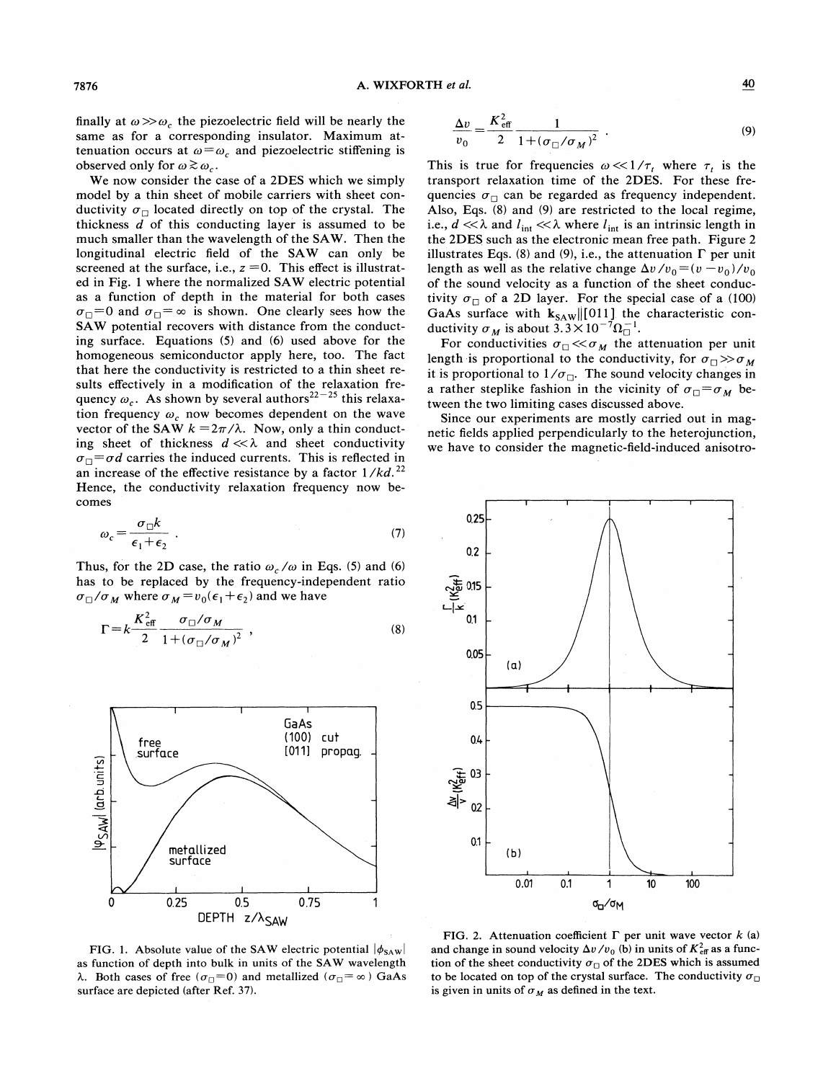finally at  $\omega \gg \omega_c$ , the piezoelectric field will be nearly the same as for a corresponding insulator. Maximum attenuation occurs at  $\omega = \omega_c$  and piezoelectric stiffening is observed only for  $\omega \gtrsim \omega_c$ .

We now consider the case of a 2DES which we simply model by a thin sheet of mobile carriers with sheet conductivity  $\sigma_{\Box}$  located directly on top of the crystal. The thickness  $d$  of this conducting layer is assumed to be much smaller than the wavelength of the SAW. Then the longitudinal electric field of the SAW can only be screened at the surface, i.e.,  $z = 0$ . This effect is illustrated in Fig. <sup>1</sup> where the normalized SAW electric potential as a function of depth in the material for both cases  $\sigma_{\Box} = 0$  and  $\sigma_{\Box} = \infty$  is shown. One clearly sees how the SAW potential recovers with distance from the conducting surface. Equations (5) and (6) used above for the homogeneous semiconductor apply here, too. The fact that here the conductivity is restricted to a thin sheet results effectively in a modification of the relaxation frequency  $\omega_c$ . As shown by several authors<sup>22-25</sup> this relaxation frequency  $\omega_c$  now becomes dependent on the wave vector of the SAW  $k = 2\pi/\lambda$ . Now, only a thin conducting sheet of thickness  $d \ll \lambda$  and sheet conductivity  $\sigma_{\Box} = \sigma d$  carries the induced currents. This is reflected in an increase of the effective resistance by a factor  $1/kd$ .<sup>22</sup> Hence, the conductivity relaxation frequency now becomes

$$
\omega_c = \frac{\sigma_{\Box} k}{\epsilon_1 + \epsilon_2} \tag{7}
$$

Thus, for the 2D case, the ratio  $\omega_c/\omega$  in Eqs. (5) and (6) has to be replaced by the frequency-independent ratio  $\sigma_{\Box}/\sigma_M$  where  $\sigma_M = v_0(\epsilon_1 + \epsilon_2)$  and we have

$$
\Gamma = k \frac{K_{\text{eff}}^2}{2} \frac{\sigma_{\Box}/\sigma_M}{1 + (\sigma_{\Box}/\sigma_M)^2} , \qquad (8)
$$



FIG. 1. Absolute value of the SAW electric potential  $|\phi_{SAW}|$ as function of depth into bulk in units of the SAW wavelength  $\lambda$ . Both cases of free ( $\sigma_{\Box} = 0$ ) and metallized ( $\sigma_{\Box} = \infty$ ) GaAs surface are depicted (after Ref. 37).

$$
\frac{\Delta v}{v_0} = \frac{K_{\text{eff}}^2}{2} \frac{1}{1 + (\sigma_{\Box}/\sigma_M)^2} \tag{9}
$$

This is true for frequencies  $\omega \ll 1/\tau_t$  where  $\tau_t$  is the transport relaxation time of the 2DES. For these frequencies  $\sigma_{\Box}$  can be regarded as frequency independent. Also, Eqs. (8) and (9) are restricted to the local regime, i.e.,  $d \ll \lambda$  and  $l_{\text{int}} \ll \lambda$  where  $l_{\text{int}}$  is an intrinsic length in the 2DES such as the electronic mean free path. Figure 2 llustrates Eqs. (8) and (9), i.e., the attenuation  $\Gamma$  per unit length as well as the relative change  $\Delta v /v_0 = (v - v_0)/v_0$ of the sound velocity as a function of the sheet conducivity  $\sigma_{\Box}$  of a 2D layer. For the special case of a (100) GaAs surface with  $k_{SAW}$  [011] the characteristic conductivity  $\sigma_M$  is about 3.3  $\times 10^{-7} \Omega_{\square}^{-1}$ .

For conductivities  $\sigma_{\Box} \ll \sigma_M$  the attenuation per unit length is proportional to the conductivity, for  $\sigma_{\Box} \gg \sigma_M$ it is proportional to  $1/\sigma_{\Box}$ . The sound velocity changes in a rather steplike fashion in the vicinity of  $\sigma_{\Box} = \sigma_M$  between the two limiting cases discussed above.

Since our experiments are mostly carried out in magnetic fields applied perpendicularly to the heterojunction, we have to consider the magnetic-field-induced anisotro-



FIG. 2. Attenuation coefficient  $\Gamma$  per unit wave vector k (a) and change in sound velocity  $\Delta v/v_0$  (b) in units of  $K_{\text{eff}}^2$  as a function of the sheet conductivity  $\sigma_{\Box}$  of the 2DES which is assumed to be located on top of the crystal surface. The conductivity  $\sigma_{\Box}$ is given in units of  $\sigma_M$  as defined in the text.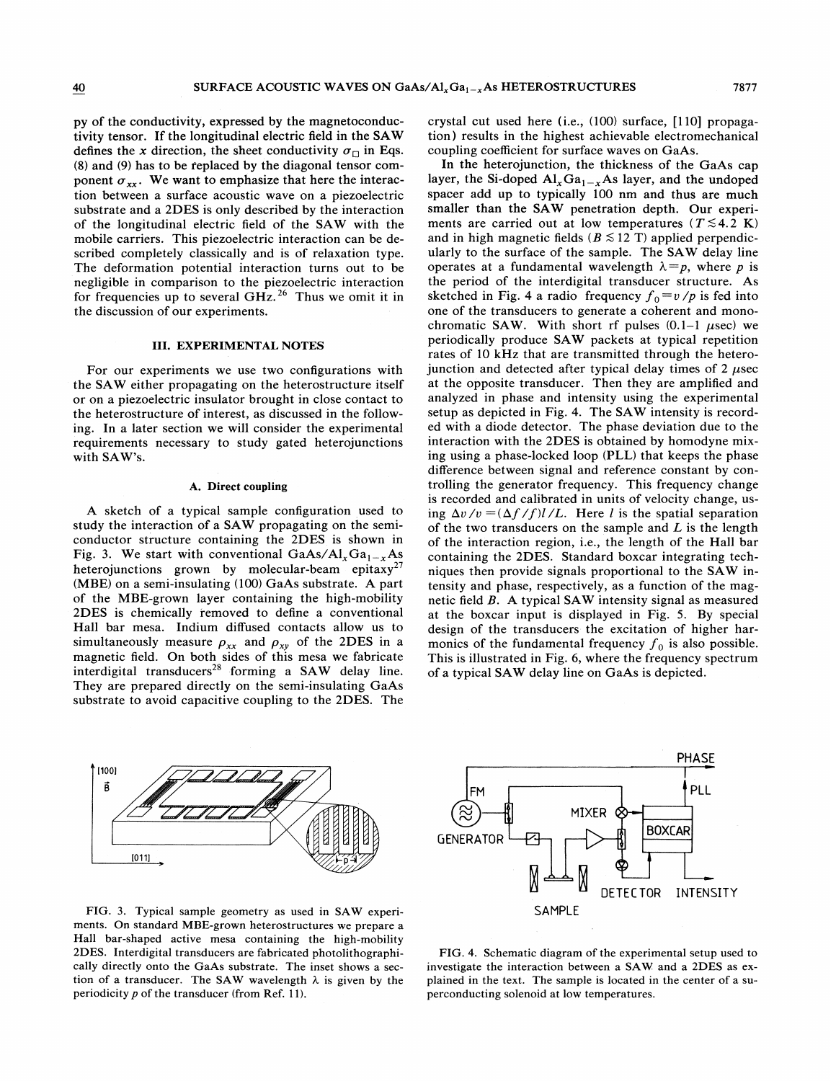py of the conductivity, expressed by the magnetoconductivity tensor. If the longitudinal electric field in the SAW defines the x direction, the sheet conductivity  $\sigma_{\Box}$  in Eqs. (8) and (9) has to be replaced by the diagonal tensor component  $\sigma_{xx}$ . We want to emphasize that here the interaction between a surface acoustic wave on a piezoelectric substrate and a 2DES is only described by the interaction of the longitudinal electric field of the SAW with the mobile carriers. This piezoelectric interaction can be described completely classically and is of relaxation type. The deformation potential interaction turns out to be negligible in comparison to the piezoelectric interaction for frequencies up to several GHz.<sup>26</sup> Thus we omit it in the discussion of our experiments.

#### III. EXPERIMENTAL NOTES

For our experiments we use two configurations with the SAW either propagating on the heterostructure itself or on a piezoelectric insulator brought in close contact to the heterostructure of interest, as discussed in the following. In a later section we will consider the experimental requirements necessary to study gated heterojunctions with SAW's.

## A. Direct coupling

A sketch of a typical sample configuration used to study the interaction of a SAW propagating on the semiconductor structure containing the 2DES is shown in Fig. 3. We start with conventional GaAs/ $Al_xGa_{1-x}As$ heterojunctions grown by molecular-beam epitaxy<sup>27</sup> (MBE) on a semi-insulating (100) GaAs substrate. A part of the MBE-grown layer containing the high-mobility 2DES is chemically removed to define a conventional Hall bar mesa. Indium diffused contacts allow us to simultaneously measure  $\rho_{xx}$  and  $\rho_{xy}$  of the 2DES in a magnetic field. On both sides of this mesa we fabricate interdigital transducers<sup>28</sup> forming a SAW delay line. They are prepared directly on the semi-insulating GaAs substrate to avoid capacitive coupling to the 2DES. The crystal cut used here (i.e., (100) surface, [110] propagation) results in the highest achievable electromechanical coupling coefficient for surface waves on GaAs.

In the heterojunction, the thickness of the GaAs cap layer, the Si-doped  $Al_xGa_{1-x}As$  layer, and the undoped spacer add up to typically 100 nm and thus are much smaller than the SAW penetration depth. Our experiments are carried out at low temperatures ( $T \lesssim 4.2$  K) and in high magnetic fields ( $B \le 12$  T) applied perpendicularly to the surface of the sample. The SAW delay line operates at a fundamental wavelength  $\lambda = p$ , where p is the period of the interdigital transducer structure. As the period of the interdigital transducer structure. As<br>sketched in Fig. 4 a radio frequency  $f_0 = v/p$  is fed into one of the transducers to generate a coherent and monochromatic SAW. With short rf pulses  $(0.1-1 \mu \text{sec})$  we periodically produce SAW packets at typical repetition rates of 10 kHz that are transmitted through the heterojunction and detected after typical delay times of  $2 \mu$ sec at the opposite transducer. Then they are amplified and analyzed in phase and intensity using the experimental setup as depicted in Fig. 4. The SAW intensity is recorded with a diode detector. The phase deviation due to the interaction with the 2DES is obtained by homodyne mixing using a phase-locked loop (PLL) that keeps the phase difference between signal and reference constant by controlling the generator frequency. This frequency change is recorded and calibrated in units of velocity change, using  $\Delta v/v = (\Delta f/f)l/L$ . Here *l* is the spatial separation of the two transducers on the sample and  $L$  is the length of the interaction region, i.e., the length of the Hall bar containing the 2DES. Standard boxcar integrating techniques then provide signals proportional to the SAW intensity and phase, respectively, as a function of the magnetic field B. A typical SAW intensity signal as measured at the boxcar input is displayed in Fig. 5. By special design of the transducers the excitation of higher harmonics of the fundamental frequency  $f_0$  is also possible. This is illustrated in Fig. 6, where the frequency spectrum of a typical SAW delay line on GaAs is depicted.



FIG. 3. Typical sample geometry as used in SAW experiments. On standard MBE-grown heterostructures we prepare a Hall bar-shaped active mesa containing the high-mobility 2DES. Interdigital transducers are fabricated photolithographically directly onto the GaAs substrate. The inset shows a section of a transducer. The SAW wavelength  $\lambda$  is given by the periodicity  $p$  of the transducer (from Ref. 11).



FIG. 4. Schematic diagram of the experimental setup used to investigate the interaction between a SAW, and a 2DES as explained in the text. The sample is located in the center of a superconducting solenoid at low temperatures.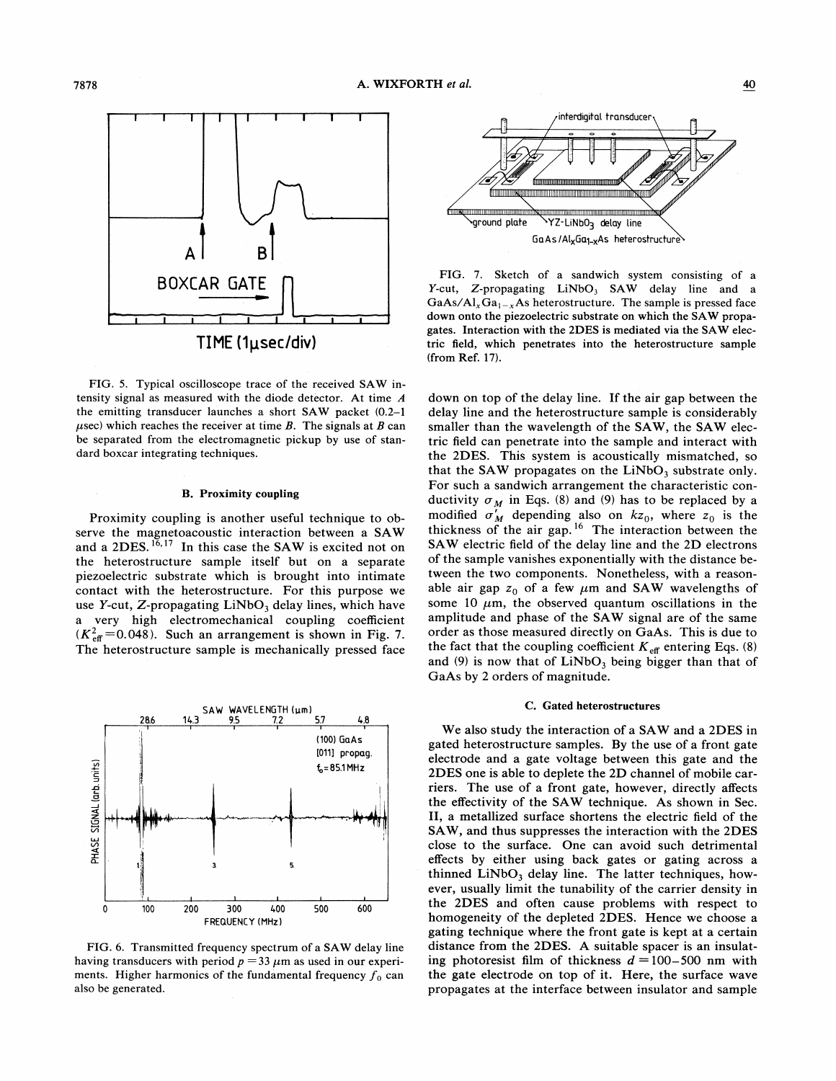

FIG. 5. Typical oscilloscope trace of the received SAW intensity signal as measured with the diode detector. At time A the emitting transducer launches a short SAW packet (0.2—<sup>1</sup>  $\mu$ sec) which reaches the receiver at time B. The signals at B can be separated from the electromagnetic pickup by use of standard boxcar integrating techniques.

# B. Proximity coupling

Proximity coupling is another useful technique to observe the magnetoacoustic interaction between a SAW serve the magnetoacoustic interaction between a SAW<br>and a 2DES.<sup>16,17</sup> In this case the SAW is excited not on the heterostructure sample itself but on a separate piezoelectric substrate which is brought into intimate contact with the heterostructure. For this purpose we use Y-cut, Z-propagating  $LiNbO<sub>3</sub>$  delay lines, which have a very high electromechanical coupling coefficient  $(K_{\text{eff}}^2=0.048)$ . Such an arrangement is shown in Fig. 7. The heterostructure sample is mechanically pressed face



FIG. 6. Transmitted frequency spectrum of a SAW delay line having transducers with period  $p = 33 \mu$ m as used in our experiments. Higher harmonics of the fundamental frequency  $f_0$  can also be generated.



FIG. 7. Sketch of a sandwich system consisting of a Y-cut, Z-propagating  $LiNbO<sub>3</sub>$  SAW delay line and a  $GaAs/Al<sub>x</sub>Ga<sub>1-x</sub>As heterostructure.$  The sample is pressed face down onto the piezoelectric substrate on which the SAW propagates. Interaction with the 2DES is mediated via the SAW electric field, which penetrates into the heterostructure sample (from Ref. 17).

down on top of the delay line. If the air gap between the delay line and the heterostructure sample is considerably smaller than the wavelength of the SAW, the SAW electric field can penetrate into the sample and interact with the 2DES. This system is acoustically mismatched, so that the SAW propagates on the  $LiNbO<sub>3</sub>$  substrate only. For such a sandwich arrangement the characteristic conductivity  $\sigma_M$  in Eqs. (8) and (9) has to be replaced by a modified  $\sigma'_M$  depending also on  $kz_0$ , where  $z_0$  is the hickness of the air gap.<sup>16</sup> The interaction between the SAW electric field of the delay line and the 2D electrons of the sample vanishes exponentially with the distance between the two components. Nonetheless, with a reasonable air gap  $z_0$  of a few  $\mu$ m and SAW wavelengths of some 10  $\mu$ m, the observed quantum oscillations in the amplitude and phase of the SAW signal are of the same order as those measured directly on GaAs. This is due to the fact that the coupling coefficient  $K_{\text{eff}}$  entering Eqs. (8) and (9) is now that of  $LiNbO<sub>3</sub>$  being bigger than that of GaAs by 2 orders of magnitude.

## C. Gated heterostructures

We also study the interaction of a SAW and a 2DES in gated heterostructure samples. By the use of a front gate electrode and a gate voltage between this gate and the 2DES one is able to deplete the 2D channel of mobile carriers. The use of a front gate, however, directly affects the effectivity of the SAW technique. As shown in Sec. II, a metallized surface shortens the electric field of the SAW, and thus suppresses the interaction with the 2DES close to the surface. One can avoid such detrimental effects by either using back gates or gating across a thinned  $LiNbO<sub>3</sub>$  delay line. The latter techniques, however, usually limit the tunability of the carrier density in the 2DES and often cause problems with respect to homogeneity of the depleted 2DES. Hence we choose a gating technique where the front gate is kept at a certain distance from the 2DES. A suitable spacer is an insulating photoresist film of thickness  $d = 100-500$  nm with the gate electrode on top of it. Here, the surface wave propagates at the interface between insulator and sample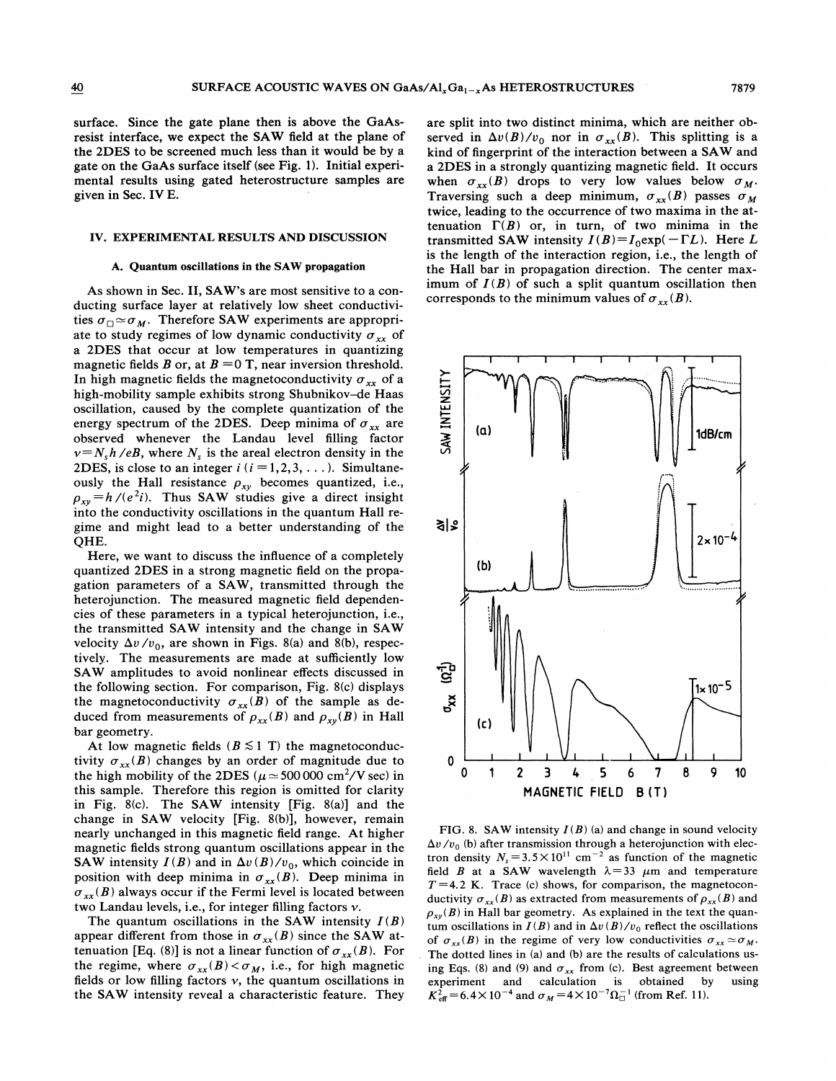surface. Since the gate plane then is above the GaAsresist interface, we expect the SAW field at the plane of the 2DES to be screened much less than it would be by a gate on the GaAs surface itself (see Fig. 1). Initial experimental results using gated heterostructure samples are given in Sec. IV E.

#### IV. EXPERIMENTAL RESULTS AND DISCUSSION

#### A. Quantum oscillations in the SAW propagation

As shown in Sec. II, SAW's are most sensitive to a conducting surface layer at relatively low sheet conductividucting surface layer at relatively low sheet conductivi<br>ties  $\sigma_{\Box} \simeq \sigma_M$ . Therefore SAW experiments are appropriate to study regimes of low dynamic conductivity  $\sigma_{rr}$  of a 2DES that occur at low temperatures in quantizing magnetic fields B or, at  $B = 0$  T, near inversion threshold. In high magnetic fields the magnetoconductivity  $\sigma_{xx}$  of a high-mobility sample exhibits strong Shubnikov-de Haas oscillation, caused by the complete quantization of the energy spectrum of the 2DES. Deep minima of  $\sigma_{xx}$  are observed whenever the Landau level filling factor  $v=N_s h$  /eB, where  $N_s$  is the areal electron density in the 2DES, is close to an integer  $i$  ( $i = 1, 2, 3, \ldots$ ). Simultaneously the Hall resistance  $\rho_{xy}$  becomes quantized, i.e., busy the Han resistance  $p_{xy}$  becomes quantized, i.e. into the conductivity oscillations in the quantum Hall regime and might lead to a better understanding of the QHE.

Here, we want to discuss the influence of a completely quantized 2DES in a strong magnetic field on the propagation parameters of a SAW, transmitted through the heterojunction. The measured magnetic field dependencies of these parameters in a typical heterojunction, i.e., the transmitted SAW intensity and the change in SAW velocity  $\Delta v/v_0$ , are shown in Figs. 8(a) and 8(b), respectively. The measurements are made at sufficiently low SAW amplitudes to avoid nonlinear effects discussed in the following section. For comparison, Fig. 8(c) displays the magnetoconductivity  $\sigma_{xx}(B)$  of the sample as deduced from measurements of  $\rho_{xx}(B)$  and  $\rho_{xy}(B)$  in Hall bar geometry.

At low magnetic fields ( $B \le 1$  T) the magnetoconductivity  $\sigma_{rr}(B)$  changes by an order of magnitude due to the high mobility of the 2DES ( $\mu \approx 500\,000 \text{ cm}^2/\text{V}$  sec) in this sample. Therefore this region is omitted for clarity in Fig. 8(c). The SAW intensity [Fig. 8(a)] and the change in SAW velocity [Fig. 8(b)], however, remain nearly unchanged in this magnetic field range. At higher magnetic fields strong quantum oscillations appear in the SAW intensity  $I(B)$  and in  $\Delta v(B)/v_0$ , which coincide in position with deep minima in  $\sigma_{xx}(B)$ . Deep minima in  $\sigma_{xx}(B)$  always occur if the Fermi level is located between two Landau levels, i.e., for integer filling factors  $\nu$ .

The quantum oscillations in the SAW intensity  $I(B)$ appear different from those in  $\sigma_{xx}(B)$  since the SAW attenuation [Eq. (8)] is not a linear function of  $\sigma_{xx}(B)$ . For the regime, where  $\sigma_{xx}(B) < \sigma_M$ , i.e., for high magnetic fields or low filling factors  $\nu$ , the quantum oscillations in the SAW intensity reveal a characteristic feature. They

are split into two distinct minima, which are neither observed in  $\Delta v(B)/v_0$  nor in  $\sigma_{xx}(B)$ . This splitting is a kind of fingerprint of the interaction between a SAW and a 2DES in a strongly quantizing magnetic field. It occurs when  $\sigma_{xx}(B)$  drops to very low values below  $\sigma_M$ . Traversing such a deep minimum,  $\sigma_{xx}(B)$  passes  $\sigma_M$ twice, leading to the occurrence of two maxima in the attenuation  $\Gamma(B)$  or, in turn, of two minima in the transmitted SAW intensity  $I(B)=I_0 \exp(-\Gamma L)$ . Here L s the length of the interaction region, i.e., the length of the Hall bar in propagation direction. The center maximum of  $I(B)$  of such a split quantum oscillation then corresponds to the minimum values of  $\sigma_{xx}(B)$ .



FIG. 8. SAW intensity  $I(B)$  (a) and change in sound velocity  $\Delta v / v_0$  (b) after transmission through a heterojunction with electron density  $N_s = 3.5 \times 10^{11}$  cm<sup>-2</sup> as function of the magnetic field B at a SAW wavelength  $\lambda=33$   $\mu$ m and temperature  $T = 4.2$  K. Trace (c) shows, for comparison, the magnetoconductivity  $\sigma_{xx}(B)$  as extracted from measurements of  $\rho_{xx}(B)$  and  $\rho_{xy}(B)$  in Hall bar geometry. As explained in the text the quan $f_{xy}(B)$  in Tian oar geometry. The explained in the text the quantum oscillations in  $I(B)$  and in  $\Delta v(B)/v_0$  reflect the oscillations of  $\sigma_{xx}(B)$  in the regime of very low conductivities  $\sigma_{xx} \simeq \sigma_M$ . The dotted lines in (a) and (b) are the results of calculations using Eqs. (8) and (9) and  $\sigma_{xx}$  from (c). Best agreement between<br>experiment and calculation is obtained by using experiment and calculation is obtained by using<br> $K_{\text{eff}}^2 = 6.4 \times 10^{-4}$  and  $\sigma_M = 4 \times 10^{-7} \Omega_{\text{d}}^{-1}$  (from Ref. 11).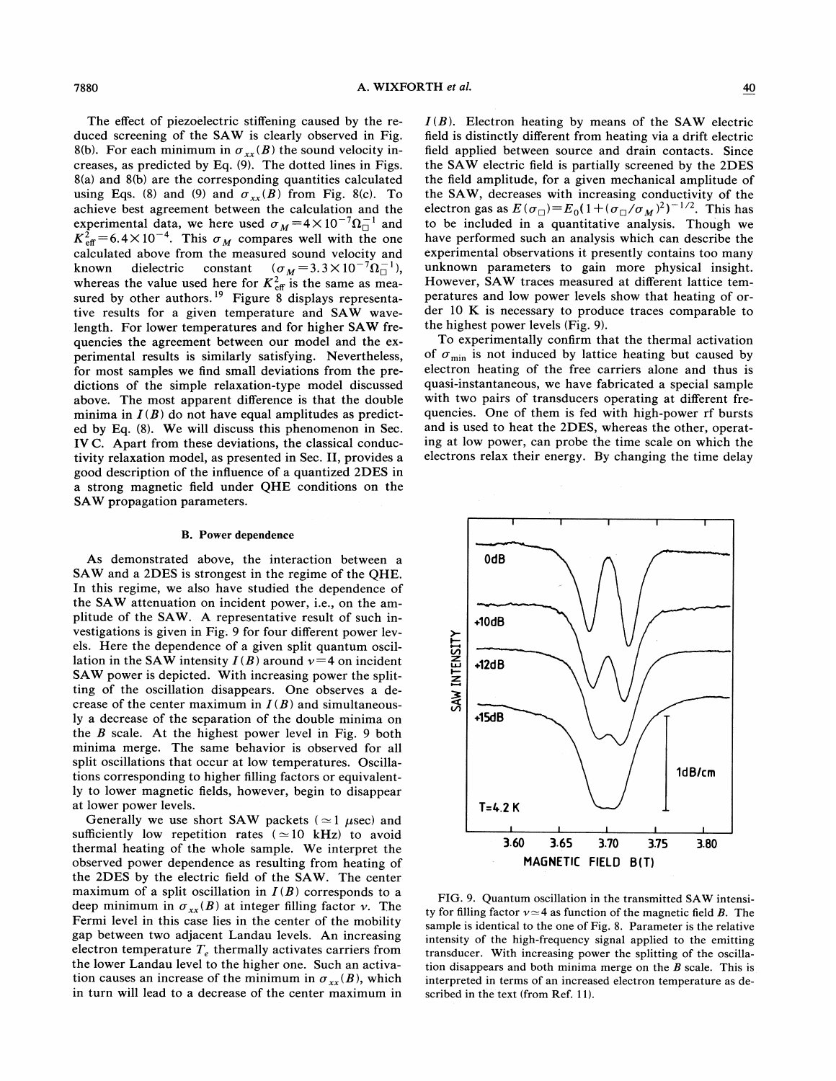The effect of piezoelectric stiffening caused by the reduced screening of the SAW is clearly observed in Fig. 8(b). For each minimum in  $\sigma_{xx}(B)$  the sound velocity increases, as predicted by Eq. (9). The dotted lines in Figs. 8(a) and 8(b) are the corresponding quantities calculated using Eqs. (8) and (9) and  $\sigma_{xx}(B)$  from Fig. 8(c). To achieve best agreement between the calculation and the experimental data, we here used  $\sigma_M = 4 \times 10^{-7} \Omega_0^{-1}$  and  $K_{\text{eff}}^2 = 6.4 \times 10^{-4}$ . This  $\sigma_M$  compares well with the one calculated above from the measured sound velocity and<br>known dielectric constant  $(\sigma_M = 3.3 \times 10^{-7} \Omega_{0}^{-1})$ , dielectric constant  $(\sigma_M = 3.3 \times 10^{-7} \Omega_{\square}^{-1}),$ whereas the value used here for  $K_{\text{eff}}^2$  is the same as measured by other authors.<sup>19</sup> Figure 8 displays representa tive results for a given temperature and SAW wavelength. For lower temperatures and for higher SAW frequencies the agreement between our model and the experimental results is similarly satisfying. Nevertheless, for most samples we find small deviations from the predictions of the simple relaxation-type model discussed above. The most apparent difference is that the double minima in  $I(B)$  do not have equal amplitudes as predicted by Eq. (8). We will discuss this phenomenon in Sec. IV C. Apart from these deviations, the classical conductivity relaxation model, as presented in Sec. II, provides a good description of the inhuence of a quantized 2DES in a strong magnetic field under QHE conditions on the SAW propagation parameters.

# B. Power dependence

As demonstrated above, the interaction between a SAW and a 2DES is strongest in the regime of the QHE. In this regime, we also have studied the dependence of the SAW attenuation on incident power, i.e., on the amplitude of the SAW. A representative result of such investigations is given in Fig; 9 for four different power levels. Here the dependence of a given split quantum oscillation in the SAW intensity  $I(B)$  around  $\nu=4$  on incident SAW power is depicted. With increasing power the splitting of the oscillation disappears. One observes a decrease of the center maximum in  $I(B)$  and simultaneously a decrease of the separation of the double minima on the  $B$  scale. At the highest power level in Fig. 9 both minima merge. The same behavior is observed for all split oscillations that occur at low temperatures. Oscillations corresponding to higher filling factors or equivalently to lower magnetic fields, however, begin to disappear at lower power levels.

Generally we use short SAW packets ( $\simeq$ 1  $\mu$ sec) and sufficiently low repetition rates ( $\simeq$  10 kHz) to avoid thermal heating of the whole sample. We interpret the observed power dependence as resulting from heating of the 2DES by the electric field of the SAW. The center maximum of a split oscillation in  $I(B)$  corresponds to a deep minimum in  $\sigma_{xx}(B)$  at integer filling factor v. The Fermi level in this case lies in the center of the mobility gap between two adjacent Landau levels. An increasing electron temperature  $T_e$  thermally activates carriers from the lower Landau level to the higher one. Such an activation causes an increase of the minimum in  $\sigma_{xx}(B)$ , which in turn will lead to a decrease of the center maximum in

 $I(B)$ . Electron heating by means of the SAW electric field is distinctly different from heating via a drift electric field applied between source and drain contacts. Since the SAW electric field is partially screened by the 2DES the field amplitude, for a given mechanical amplitude of the SAW, decreases with increasing conductivity of the electron gas as  $E(\sigma_{\Box})=E_0(1+(\sigma_{\Box}/\sigma_M)^2)^{-1/2}$ . This has to be included in a quantitative analysis. Though we have performed such an analysis which can describe the experimental observations it presently contains too many unknown parameters to gain more physical insight. However, SAW traces measured at different lattice temperatures and low power levels show that heating of order 10 K is necessary to produce traces comparable to the highest power levels (Fig. 9).

To experimentally confirm that the thermal activation of  $\sigma_{\min}$  is not induced by lattice heating but caused by electron heating of the free carriers alone and thus is quasi-instantaneous, we have fabricated a special sample with two pairs of transducers operating at different frequencies. One of them is fed with high-power rf bursts and is used to heat the 2DES, whereas the other, operating at low power, can probe the time scale on which the electrons relax their energy. By changing the time delay



FIG. 9. Quantum oscillation in the transmitted SAW intensity for filling factor  $v \approx 4$  as function of the magnetic field B. The sample is identical to the one of Fig. 8. Parameter is the relative intensity of the high-frequency signal applied to the emitting transducer. With increasing power the splitting of the oscillation disappears and both minima merge on the  $B$  scale. This is interpreted in terms of an increased electron temperature as described in the text (from Ref. 11).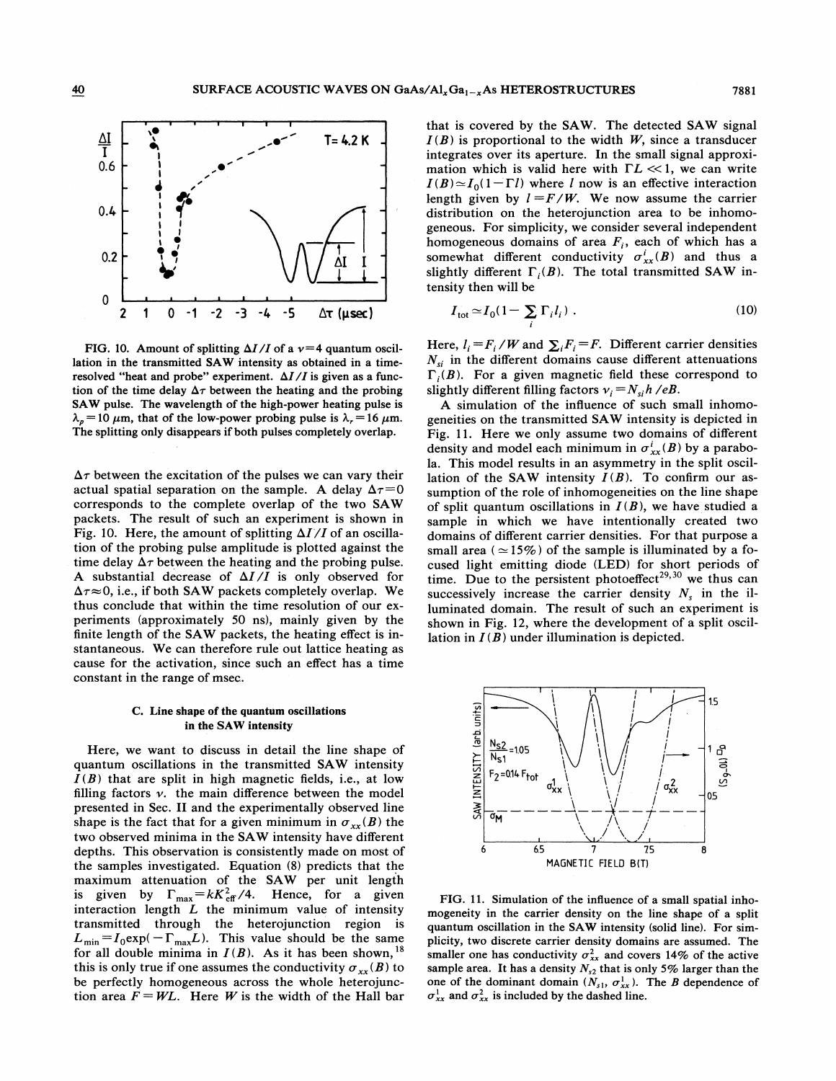

FIG. 10. Amount of splitting  $\Delta I/I$  of a  $\nu=4$  quantum oscillation in the transmitted SAW intensity as obtained in a timeresolved "heat and probe" experiment.  $\Delta I/I$  is given as a function of the time delay  $\Delta \tau$  between the heating and the probing SAW pulse. The wavelength of the high-power heating pulse is  $\lambda_n = 10 \ \mu \text{m}$ , that of the low-power probing pulse is  $\lambda_r = 16 \ \mu \text{m}$ . The splitting only disappears if both pulses completely overlap.

 $\Delta \tau$  between the excitation of the pulses we can vary their actual spatial separation on the sample. A delay  $\Delta \tau = 0$ corresponds to the complete overlap of the two SAW packets. The result of such an experiment is shown in Fig. 10. Here, the amount of splitting  $\Delta I/I$  of an oscillation of the probing pulse amplitude is plotted against the time delay  $\Delta \tau$  between the heating and the probing pulse. A substantial decrease of  $\Delta I/I$  is only observed for  $\Delta \tau \approx 0$ , i.e., if both SAW packets completely overlap. We thus conclude that within the time resolution of our experiments (approximately 50 ns), mainly given by the finite length of the SAW packets, the heating effect is instantaneous. We can therefore rule out lattice heating as cause for the activation, since such an effect has a time constant in the range of msec. .

#### C. Line shape of the quantum oscillations in the SAW intensity

Here, we want to discuss in detail the line shape of quantum oscillations in the transmitted SAW intensity  $I(B)$  that are split in high magnetic fields, i.e., at low filling factors  $v$ . the main difference between the model presented in Sec. II and the experimentally observed line shape is the fact that for a given minimum in  $\sigma_{xx}(B)$  the two observed minima in the SAW intensity have different depths. This observation is consistently made on most of the samples investigated. Equation (8) predicts that the maximum attenuation of the SAW per unit length<br>is given by  $\Gamma_{\text{max}} = kK_{\text{eff}}^2/4$ . Hence, for a given interaction length  $L$  the minimum value of intensity transmitted through the heterojunction region is  $L_{\min} = I_0 \exp(-\Gamma_{\max} L)$ . This value should be the same for all double minima in  $I(B)$ . As it has been shown, <sup>18</sup> this is only true if one assumes the conductivity  $\sigma_{xx}(B)$  to be perfectly homogeneous across the whole heterojunction area  $F = WL$ . Here W is the width of the Hall bar that is covered by the SAW. The detected SAW signal  $I(B)$  is proportional to the width W, since a transducer integrates over its aperture. In the small signal approximation which is valid here with  $\Gamma L \ll 1$ , we can write  $I(B) \simeq I_0(1-\Gamma l)$  where l now is an effective interaction length given by  $l = F/W$ . We now assume the carrier distribution on the heterojunction area to be inhomogeneous. For simplicity, we consider several independent homogeneous domains of area  $F_i$ , each of which has a somewhat different conductivity  $\sigma_{xx}^i(B)$  and thus a slightly different  $\Gamma_i(B)$ . The total transmitted SAW intensity then will be

$$
I_{\text{tot}} \simeq I_0 (1 - \sum_i \Gamma_i l_i) \tag{10}
$$

Here,  $l_i = F_i/W$  and  $\sum_i F_i = F$ . Different carrier densities  $N_{\rm si}$  in the different domains cause different attenuations  $\Gamma_i(B)$ . For a given magnetic field these correspond to slightly different filling factors  $v_i = N_{si}h/eB$ .

A simulation of the influence of such small inhomogeneities on the transmitted SAW intensity is depicted in Fig. 11. Here we only assume two domains of different density and model each minimum in  $\sigma_{xx}^i(B)$  by a parabola. This model results in an asymmetry in the split oscillation of the SAW intensity  $I(B)$ . To confirm our assumption of the role of inhomogeneities on the line shape of split quantum oscillations in  $I(B)$ , we have studied a sample in which we have intentionally created two domains of different carrier densities. For that purpose a small area ( $\simeq$ 15%) of the sample is illuminated by a focused light emitting diode (LED) for short periods of time. Due to the persistent photoeffect<sup>29,30</sup> we thus can successively increase the carrier density  $N_s$  in the illuminated domain. The result of such an experiment is shown in Fig. 12, where the development of a split oscillation in  $I(B)$  under illumination is depicted.



FIG. 11. Simulation of the influence of a small spatial inhomogeneity in the carrier density on the line shape of a split quantum oscillation in the SAW intensity (solid line). For simplicity, two discrete carrier density domains are assumed. The smaller one has conductivity  $\sigma_{xx}^2$  and covers 14% of the active sample area. It has a density  $N_{s2}$  that is only 5% larger than the one of the dominant domain  $(N_{s1}, \sigma_{xx}^1)$ . The B dependence of  $\sigma_{xx}^1$  and  $\sigma_{xx}^2$  is included by the dashed line.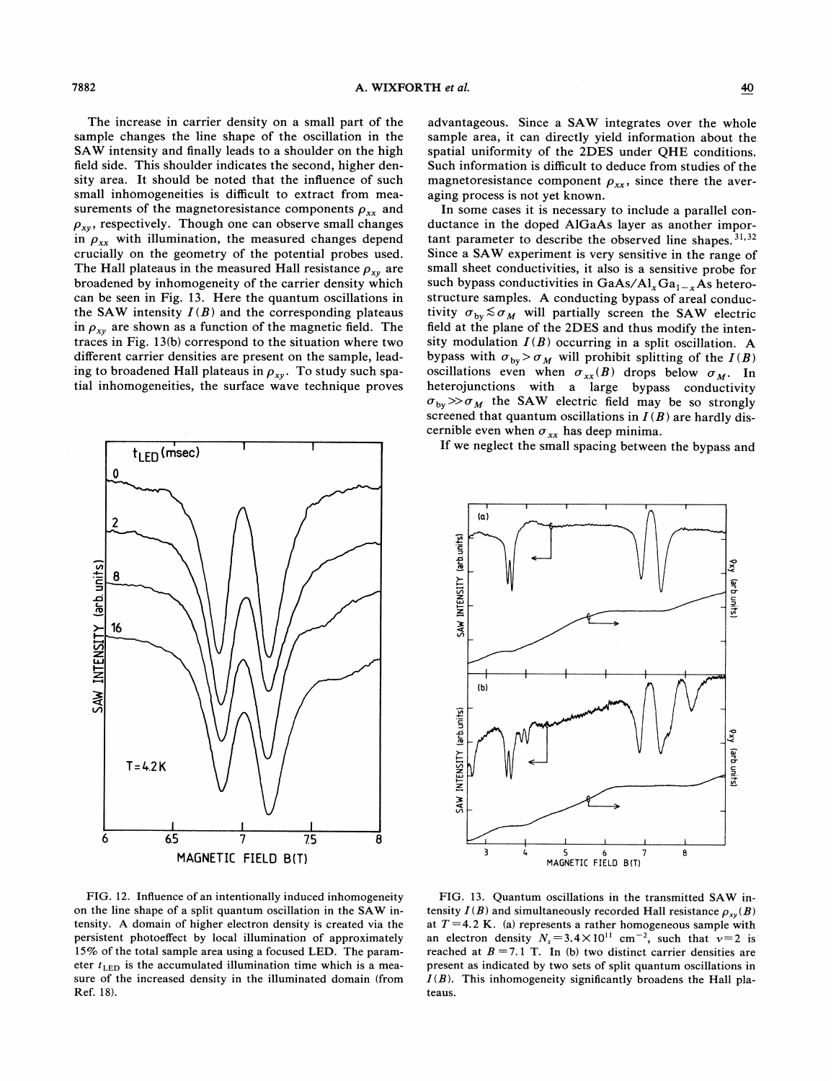The increase in carrier density on a small part of the sample changes the line shape of the oscillation in the SAW intensity and finally leads to a shoulder on the high field side. This shoulder indicates the second, higher density area. It should be noted that the influence of such small inhomogeneities is difficult to extract from measurements of the magnetoresistance components  $\rho_{xx}$  and  $\rho_{xy}$ , respectively. Though one can observe small changes in  $\rho_{xx}$  with illumination, the measured changes depend crucially on the geometry of the potential probes used. The Hall plateaus in the measured Hall resistance  $\rho_{xy}$  are broadened by inhomogeneity of the carrier density which can be seen in Fig. 13. Here the quantum oscillations in the SAW intensity  $I(B)$  and the corresponding plateaus in  $\rho_{xy}$  are shown as a function of the magnetic field. The traces in Fig. 13(b) correspond to the situation where two different carrier densities are present on the sample, leading to broadened Hall plateaus in  $\rho_{xy}$ . To study such spatial inhomogeneities, the surface wave technique proves



advantageous. Since a SAW integrates over the whole sample area, it can directly yield information about the spatial uniformity of the 2DES under QHE conditions. Such information is difficult to deduce from studies of the magnetoresistance component  $\rho_{xx}$ , since there the averaging process is not yet known.

In some cases it is necessary to include a parallel conductance in the doped AlGaAs layer as another important parameter to describe the observed line shapes.<sup>31,32</sup> Since a SAW experiment is very sensitive in the range of small sheet conductivities, it also is a sensitive probe for such bypass conductivities in GaAs/Al<sub>x</sub>Ga<sub>1-x</sub>As heterostructure samples. A conducting bypass of areal conductivity  $\sigma_{by} \lesssim \sigma_M$  will partially screen the SAW electric field at the plane of the 2DES and thus modify the intensity modulation  $I(B)$  occurring in a split oscillation. A bypass with  $\sigma_{by} > \sigma_M$  will prohibit splitting of the  $I(B)$ oscillations even when  $\sigma_{xx}(B)$  drops below  $\sigma_M$ . In heterojunctions with a large bypass conductivity  $\sigma_{by} \gg \sigma_M$  the SAW electric field may be so strongly screened that quantum oscillations in  $I(B)$  are hardly discernible even when  $\sigma_{xx}$  has deep minima.

If we neglect the small spacing between the bypass and



FIG. 12. Influence of an intentionally induced inhomogeneity on the line shape of a split quantum oscillation in the SAW intensity. A domain of higher electron density is created via the persistent photoeffect by local illumination of approximately 15% of the total sample area using a focused LED. The parameter  $t_{\text{LED}}$  is the accumulated illumination time which is a measure of the increased density in the illuminated domain (from Ref. 18).

FIG. 13. Quantum oscillations in the transmitted SAW intensity  $I(B)$  and simultaneously recorded Hall resistance  $\rho_{xy}(B)$ at  $T = 4.2$  K. (a) represents a rather homogeneous sample with an electron density  $N_s = 3.4 \times 10^{11}$  cm<sup>-2</sup>, such that  $v=2$  is reached at  $B = 7.1$  T. In (b) two distinct carrier densities are present as indicated by two sets of split quantum oscillations in  $I(B)$ . This inhomogeneity significantly broadens the Hall plateaus.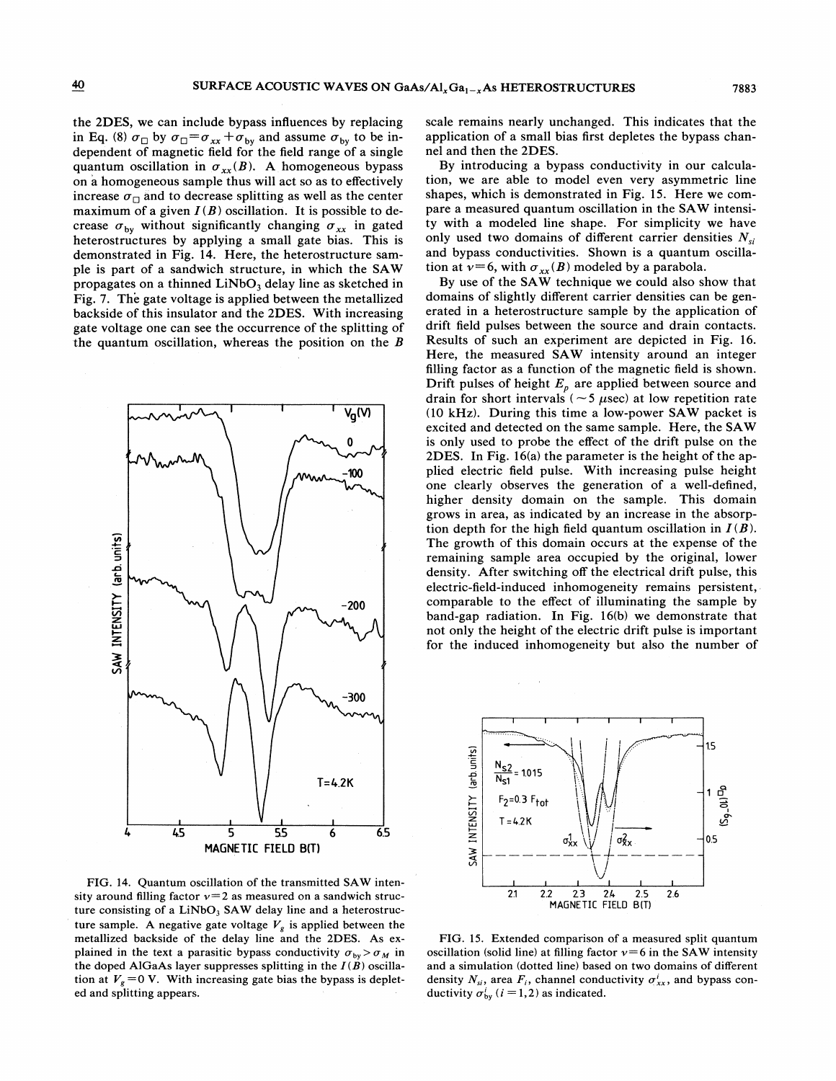the 2DES, we can include bypass influences by replacing in Eq. (8)  $\sigma_{\Box}$  by  $\sigma_{\Box} = \sigma_{xx} + \sigma_{by}$  and assume  $\sigma_{by}$  to be independent of magnetic field for the field range of a single quantum oscillation in  $\sigma_{xx}(B)$ . A homogeneous bypass on a homogeneous sample thus will act so as to effectively increase  $\sigma_{\Box}$  and to decrease splitting as well as the center maximum of a given  $I(B)$  oscillation. It is possible to decrease  $\sigma_{by}$  without significantly changing  $\sigma_{xx}$  in gated heterostructures by applying a small gate bias. This is demonstrated in Fig. 14. Here, the heterostructure sample is part of a sandwich structure, in which the SAW propagates on a thinned  $LiNbO<sub>3</sub>$  delay line as sketched in Fig. 7. The gate voltage is applied between the metallized backside of this insulator and the 2DES. With increasing gate voltage one can see the occurrence of the splitting of the quantum oscillation, whereas the position on the  $B$ 



FIG. 14. Quantum oscillation of the transmitted SAW intensity around filling factor  $v=2$  as measured on a sandwich structure consisting of a LiNbO<sub>3</sub> SAW delay line and a heterostructure sample. A negative gate voltage  $V_g$  is applied between the metallized backside of the delay line and the 2DES. As explained in the text a parasitic bypass conductivity  $\sigma_{by} > \sigma_M$  in the doped AlGaAs layer suppresses splitting in the  $I(B)$  oscillation at  $V_g = 0$  V. With increasing gate bias the bypass is depleted and splitting appears.

scale remains nearly unchanged. This indicates that the application of a small bias first depletes the bypass channel and then the 2DES.

By introducing a bypass conductivity in our calculation, we are able to model even very asymmetric line shapes, which is demonstrated in Fig. 15. Here we compare a measured quantum oscillation in the SAW intensity with a modeled line shape. For simplicity we have only used two domains of different carrier densities  $N_{si}$ and bypass conductivities. Shown is a quantum oscillation at  $v=6$ , with  $\sigma_{xx}(B)$  modeled by a parabola.

By use of the SAW technique we could also show that domains of slightly different carrier densities can be generated in a heterostructure sample by the application of drift field pulses between the source and drain contacts. Results of such an experiment are depicted in Fig. 16. Here, the measured SAW intensity around an integer filling factor as a function of the magnetic field is shown. Drift pulses of height  $E_p$  are applied between source and drain for short intervals ( $\sim$  5  $\mu$ sec) at low repetition rate (10 kHz). During this time a low-power SAW packet is excited and detected on the same sample. Here, the SAW is only used to probe the effect of the drift pulse on the 2DES. In Fig. 16(a) the parameter is the height of the applied electric field pulse. With increasing pulse height one clearly observes the generation of a well-defined, higher density domain on the sample. This domain grows in area, as indicated by an increase in the absorption depth for the high field quantum oscillation in  $I(B)$ . The growth of this domain occurs at the expense of the remaining sample area occupied by the original, lower density. After switching off the electrical drift pulse, this electric-field-induced inhomogeneity remains persistent, comparable to the effect of illuminating the sample by band-gap radiation. In Fig. 16(b) we demonstrate that not only the height of the electric drift pulse is important for the induced inhomogeneity but also the number of



FIG. 15. Extended comparison of a measured split quantum oscillation (solid line) at filling factor  $v=6$  in the SAW intensity and a simulation (dotted line) based on two domains of different density  $N_{si}$ , area  $F_i$ , channel conductivity  $\sigma_{xx}^i$ , and bypass conductivity  $\sigma_{bv}^i$  (*i* = 1, 2) as indicated.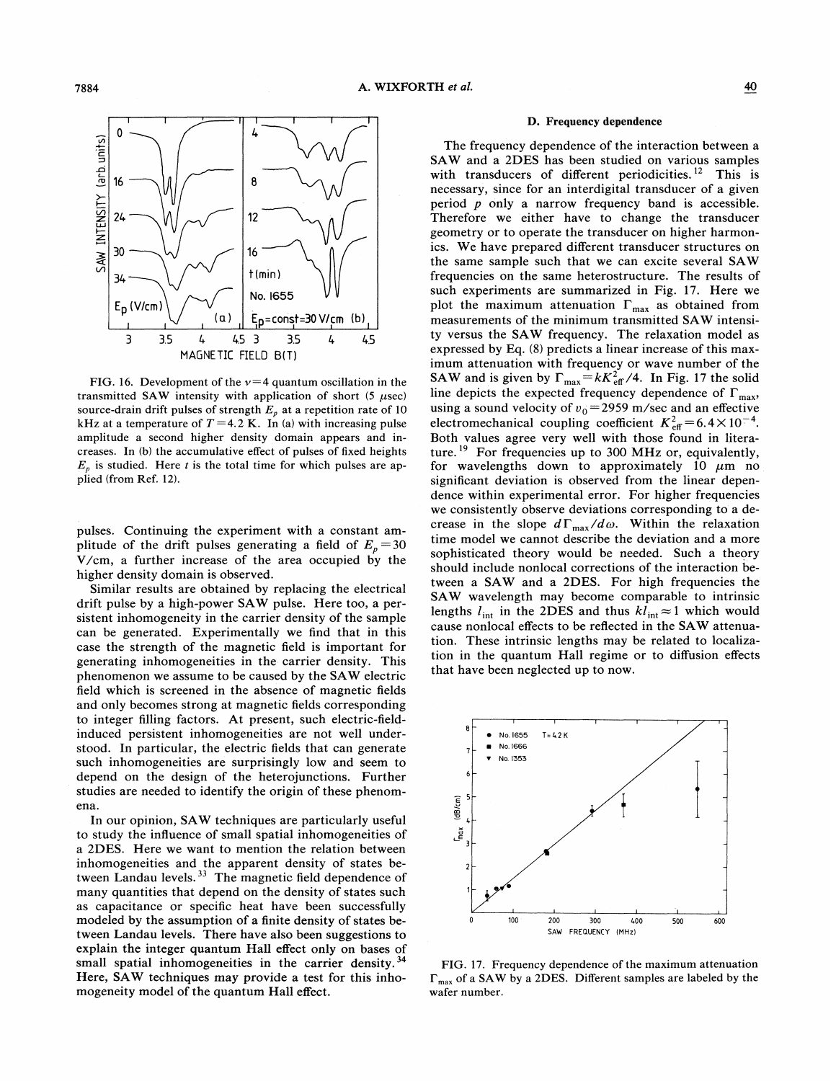

FIG. 16. Development of the  $v=4$  quantum oscillation in the transmitted SAW intensity with application of short  $(5 \ \mu \text{sec})$ source-drain drift pulses of strength  $E_p$  at a repetition rate of 10 kHz at a temperature of  $T = 4.2$  K. In (a) with increasing pulse amplitude a second higher density domain appears and increases. In (b) the accumulative effect of pulses of fixed heights  $E_{n}$  is studied. Here t is the total time for which pulses are applied (from Ref. 12).

pulses. Continuing the experiment with a constant amplitude of the drift pulses generating a field of  $E_p = 30$ V/cm, a further increase of the area occupied by the higher density domain is observed.

Similar results are obtained by replacing the electrical drift pulse by a high-power SAW pulse. Here too, a persistent inhomogeneity in the carrier density of the sample can be generated. Experimentally we find that in this case the strength of the magnetic field is important for generating inhomogeneities in the carrier density. This phenomenon we assume to be caused by the SAW electric field which is screened in the absence of magnetic fields and only becomes strong at magnetic fields corresponding to integer filling factors. At present, such electric-fieldinduced persistent inhomogeneities are not well understood. In particular, the electric fields that can generate such inhomogeneities are surprisingly low and seem to depend on the design of the heterojunctions. Further studies are needed to identify the origin of these phenomena.

In our opinion, SAW techniques are particularly useful to study the inhuence of small spatial inhomogeneities of a 2DES. Here we want to mention the relation between inhomogeneities and the apparent density of states between Landau levels.  $33$  The magnetic field dependence of many quantities that depend on the density of states such as capacitance or specific heat have been successfully modeled by the assumption of a finite density of states between Landau levels. There have also been suggestions to explain the integer quantum Hall effect only on bases of small spatial inhomogeneities in the carrier density.<sup>34</sup> Here, SAW techniques may provide a test for this inhomogeneity model of the quantum Hall effect.

#### D. Frequency dependence

The frequency dependence of the interaction between a SAW and a 2DES has been studied on various samples with transducers of different periodicities.<sup>12</sup> This is necessary, since for an interdigital transducer of a given period  $p$  only a narrow frequency band is accessible. Therefore we either have to change the transducer geometry or to operate the transducer on higher harmonics. We have prepared different transducer structures on the same sample such that we can excite several SAW frequencies on the same heterostructure. The results of such experiments are summarized in Fig. 17. Here we plot the maximum attenuation  $\Gamma_{\text{max}}$  as obtained from measurements of the minimum transmitted SAW intensity versus the SAW frequency. The relaxation model as expressed by Eq. (8) predicts a linear increase of this maximum attenuation with frequency or wave number of the SAW and is given by  $\Gamma_{\text{max}} = kK_{\text{eff}}^2/4$ . In Fig. 17 the solid line depicts the expected frequency dependence of  $\Gamma_{\text{max}}$ , using a sound velocity of  $v_0 = 2959$  m/sec and an effective electromechanical coupling coefficient  $K_{\text{eff}}^2 = 6.4 \times 10^{-4}$ . Both values agree very well with those found in literature. <sup>19</sup> For frequencies up to 300 MHz or, equivalently, for wavelengths down to approximately 10  $\mu$ m no significant deviation is observed from the linear dependence within experimental error. For higher frequencies we consistently observe deviations corresponding to a decrease in the slope  $d\Gamma_{\text{max}}/d\omega$ . Within the relaxation time model we cannot describe the deviation and a more sophisticated theory would be needed. Such a theory should include nonlocal corrections of the interaction between a SAW and a 2DES. For high frequencies the SAW wavelength may become comparable to intrinsic lengths  $l_{\text{int}}$  in the 2DES and thus  $kl_{\text{int}} \approx 1$  which would cause nonlocal effects to be reflected in the SAW attenuation. These intrinsic lengths may be related to localization in the quantum Hall regime or to diffusion effects that have been neglected up to now.



FIG. 17. Frequency dependence of the maximum attenuation  $\Gamma_{\text{max}}$  of a SAW by a 2DES. Different samples are labeled by the wafer number.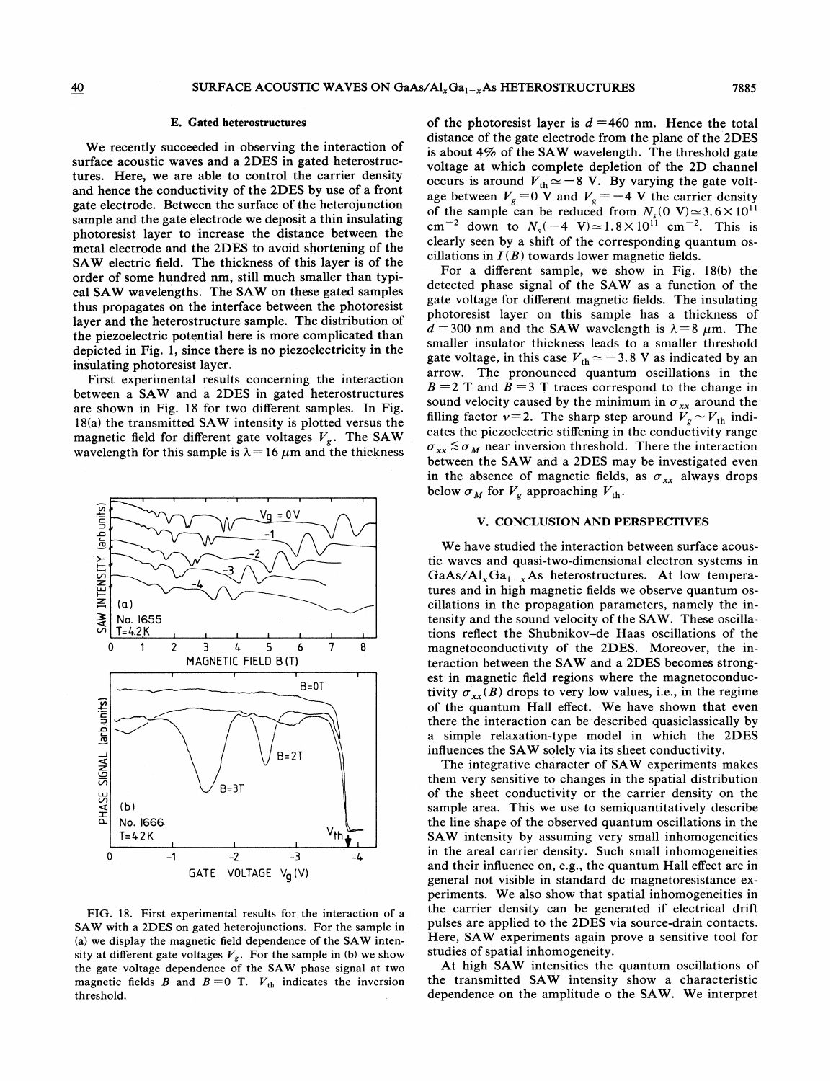### E. Gated heterostructures

We recently succeeded in observing the interaction of surface acoustic waves and a 2DES in gated heterostructures. Here, we are able to control the carrier density and hence the conductivity of the 2DES by use of a front gate electrode. Between the surface of the heterojunction sample and the gate electrode we deposit a thin insulating photoresist layer to increase the distance between the metal electrode and the 2DES to avoid shortening of the SAW electric field. The thickness of this layer is of the order of some hundred nm, still much smaller than typical SAW wavelengths. The SAW on these gated samples thus propagates on the interface between the photoresist layer and the heterostructure sample. The distribution of the piezoelectric potential here is more complicated than depicted in Fig. 1, since there is no piezoelectricity in the insulating photoresist layer.

First experimental results concerning the interaction between a SAW and a 2DES in gated heterostructures are shown in Fig. 18 for two different samples. In Fig. 18(a) the transmitted SAW intensity is plotted versus the magnetic field for different gate voltages  $V_g$ . The SAW wavelength for this sample is  $\lambda=16 \mu m$  and the thickness



FIG. 18. First experimental results for the interaction of a SAW with a 2DES on gated heterojunctions. For the sample in (a) we display the magnetic field dependence of the SAW intensity at different gate voltages  $V_g$ . For the sample in (b) we show the gate voltage dependence of the SAW phase signal at two magnetic fields  $\vec{B}$  and  $\vec{B}=0$  T.  $V_{\text{th}}$  indicates the inversion threshold.

of the photoresist layer is  $d = 460$  nm. Hence the total distance of the gate electrode from the plane of the 2DES is about 4% of the SAW wavelength. The threshold gate voltage at which complete depletion of the 2D channel bottage at which complete depletion of the 2D channel<br>occurs is around  $V_{\text{th}} \simeq -8$  V. By varying the gate voltage between  $V_g = 0$  V and  $V_g = -4$  V the carrier density of the sample can be reduced from  $N_s(0 \text{ V}) \approx 3.6 \times 10^{11}$ . cm<sup>-2</sup> down to  $N_s(-4 \text{ V}) \approx 1.8 \times 10^{11} \text{ cm}^{-2}$ . This is clearly seen by a shift of the corresponding quantum oscillations in  $I(B)$  towards lower magnetic fields.

For a different sample, we show in Fig. 18(b) the detected phase signal of the SAW as a function of the gate voltage for different magnetic fields. The insulating photoresist layer on this sample has a thickness of  $d = 300$  nm and the SAW wavelength is  $\lambda = 8 \mu$ m. The smaller insulator thickness leads to a smaller threshold gate voltage, in this case  $V_{\text{th}} \simeq -3.8$  V as indicated by an arrow. The pronounced quantum oscillations in the  $B = 2$  T and  $B = 3$  T traces correspond to the change in sound velocity caused by the minimum in  $\sigma_{xx}$  around the filling factor  $v=2$ . The sharp step around  $V_g \simeq V_{\text{th}}$  indicates the piezoelectric stiffening in the conductivity range  $\sigma_{xx} \lesssim \sigma_M$  near inversion threshold. There the interaction between the SAW and a 2DES may be investigated even in the absence of magnetic fields, as  $\sigma_{xx}$  always drops below  $\sigma_M$  for  $V_g$  approaching  $V_{\text{th}}$ .

#### V. CONCLUSION AND PERSPECTIVES

We have studied the interaction between surface acoustic waves and quasi-two-dimensional electron systems in  $GaAs/Al_xGa_{1-x}As$  heterostructures. At low temperatures and in high magnetic fields we observe quantum oscillations in the propagation parameters, namely the intensity and the sound velocity of the SAW. These oscillations reflect the Shubnikov-de Haas oscillations of the magnetoconductivity of the 2DES. Moreover, the interaction between the SAW and a 2DES becomes strongest in magnetic field regions where the magnetoconductivity  $\sigma_{xx}(B)$  drops to very low values, i.e., in the regime of the quantum Hall effect. We have shown that even there the interaction can be described quasiclassically by a simple relaxation-type model in which the 2DES influences the SAW solely via its sheet conductivity.

The integrative character of SAW experiments makes them very sensitive to changes in the spatial distribution of the sheet conductivity or the carrier density on the sample area. This we use to semiquantitatively describe the line shape of the observed quantum oscillations in the SAW intensity by assuming very small inhomogeneities in the areal carrier density. Such small inhomogeneities and their inhuence on, e.g., the quantum Hall effect are in general not visible in standard dc magnetoresistance experiments. We also show that spatial inhomogeneities in the carrier density can be generated if electrical drift pulses are applied to the 2DES via source-drain contacts. Here, SAW experiments again prove a sensitive tool for studies of spatial inhomogeneity.

At high SAW intensities the quantum oscillations of the transmitted SAW intensity show a characteristic dependence on the amplitude o the SAW. We interpret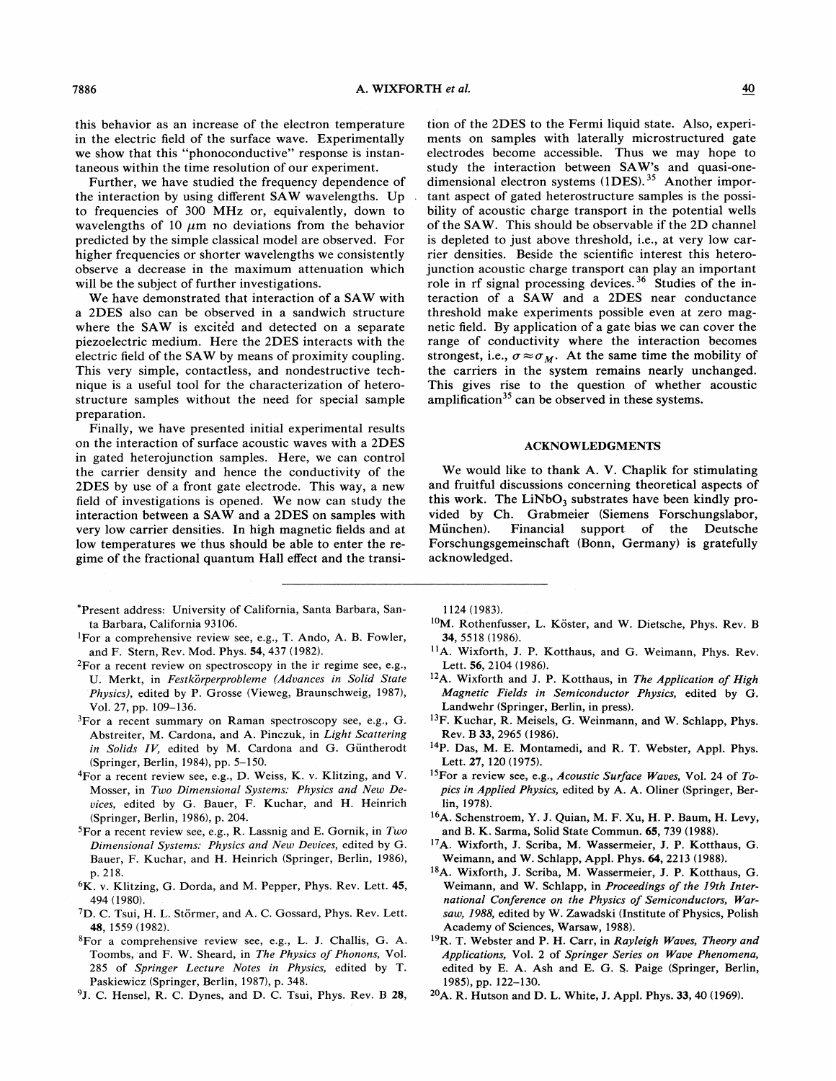this behavior as an increase of the electron temperature in the electric field of the surface wave. Experimentally we show that this "phonoconductive" response is instantaneous within the time resolution of our experiment.

Further, we have studied the frequency dependence of the interaction by using different SAW wavelengths. Up to frequencies of 300 MHz or, equivalently, down to wavelengths of 10  $\mu$ m no deviations from the behavior predicted by the simple classical model are observed. For higher frequencies or shorter wavelengths we consistently observe a decrease in the maximum attenuation which will be the subject of further investigations.

We have demonstrated that interaction of a SAW with a 2DES also can be observed in a sandwich structure where the SAW is excited and detected on a separate piezoelectric medium. Here the 2DES interacts with the electric field of the SAW by means of proximity coupling. This very simple, contactless, and nondestructive technique is a useful tool for the characterization of heterostructure samples without the need for special sample preparation.

Finally, we have presented initial experimental results on the interaction of surface acoustic waves with a 2DES in gated heterojunction samples. Here, we can control the carrier density and hence the conductivity of the 2DES by use of a front gate electrode. This way, a new field of investigations is opened. We now can study the interaction between a SAW and a 2DES on samples with very low carrier densities. In high magnetic fields and at low temperatures we thus should be able to enter the regime of the fractional quantum Hall effect and the transi-

- 'Present address: University of California, Santa Barbara, Santa Barbara, California 93106.
- <sup>1</sup>For a comprehensive review see, e.g., T. Ando, A. B. Fowler, and F. Stern, Rev. Mod. Phys. 54, 437 (1982).
- ${}^{2}$ For a recent review on spectroscopy in the ir regime see, e.g., U. Merkt, in Festkörperprobleme (Advances in Solid State Physics), edited by P. Grosse (Vieweg, Braunschweig, 1987), Vol. 27, pp. 109—136.
- ${}^{3}$ For a recent summary on Raman spectroscopy see, e.g., G. Abstreiter, M. Cardona, and A. Pinczuk, in Light Scattering in Solids  $IV$ , edited by M. Cardona and G. Güntherodt (Springer, Berlin, 1984), pp. <sup>5</sup>—150.
- 4For a recent review see, e.g., D. Weiss, K. v. Klitzing, and V. Mosser, in Two Dimensional Systems: Physics and Xew Deuices, edited by G. Bauer, F. Kuchar, and H. Heinrich (Springer, Berlin, 1986), p. 204.
- ${}^{5}$ For a recent review see, e.g., R. Lassnig and E. Gornik, in Two Dimensional Systems: Physics and Xew Deuices, edited by G. Bauer, F. Kuchar, and H. Heinrich (Springer, Berlin, 1986), p. 218.
- 6K. v. Klitzing, G. Dorda, and M. Pepper, Phys. Rev. Lett. 45, 494 (1980).
- <sup>7</sup>D. C. Tsui, H. L. Störmer, and A. C. Gossard, Phys. Rev. Lett. 4S, 1559 (1982).
- 8For a comprehensive review see, e.g., L. J. Challis, G. A. Toombs, and F. W. Sheard, in The Physics of Phonons, Vol. 285 of Springer Lecture Notes in Physics, edited by T. Paskiewicz (Springer, Berlin, 1987), p. 348.
- <sup>9</sup>J. C. Hensel, R. C. Dynes, and D. C. Tsui, Phys. Rev. B 28,

tion of the 2DES to the Fermi liquid state. Also, experiments on samples with laterally microstructured gate electrodes become accessible. Thus we may hope to study the interaction between SAW's and quasi-onedimensional electron systems (1DES).<sup>35</sup> Another important aspect of gated heterostructure samples is the possibility of acoustic charge transport in the potential wells of the SAW. This should be observable if the 2D channel is depleted to just above threshold, i.e., at very low carrier densities. Beside the scientific interest this heterojunction acoustic charge transport can play an important role in rf signal processing devices.<sup>36</sup> Studies of the interaction of a SAW and a 2DES near conductance threshold make experiments possible even at zero magnetic field. By application of a gate bias we can cover the range of conductivity where the interaction becomes strongest, i.e.,  $\sigma \approx \sigma_M$ . At the same time the mobility of the carriers in the system remains nearly unchanged. This gives rise to the question of whether acoustic amplification<sup>35</sup> can be observed in these systems.

#### ACKNOWLEDGMENTS

We would like to thank A. V. Chaplik for stimulating and fruitful discussions concerning theoretical aspects of this work. The  $LiNbO<sub>3</sub>$  substrates have been kindly provided by Ch. Grabmeier (Siemens Forschungslabor, Miinchen). Financial support of the Deutsche Forschungsgemeinschaft (Bonn, Germany) is gratefully acknowledged.

1124 (1983).

- <sup>0</sup>M. Rothenfusser, L. Köster, and W. Dietsche, Phys. Rev. B 34, 5518 (1986).
- <sup>1</sup>A. Wixforth, J. P. Kotthaus, and G. Weimann, Phys. Rev. Lett. 56, 2104 (1986).
- <sup>12</sup>A. Wixforth and J. P. Kotthaus, in The Application of High Magnetic Eields in Semiconductor Physics, edited by G. Landwehr (Springer, Berlin, in press).
- <sup>13</sup>F. Kuchar, R. Meisels, G. Weinmann, and W. Schlapp, Phys. Rev. B33, 2965 (1986).
- i4P. Das, M. E. Montamedi, and R. T. Webster, Appl. Phys. Lett. 27, 120 (1975).
- <sup>15</sup>For a review see, e.g., Acoustic Surface Waves, Vol. 24 of Topics in Applied Physics, edited by A. A. Oliner (Springer, Berlin, 1978).
- <sup>16</sup>A. Schenstroem, Y. J. Quian, M. F. Xu, H. P. Baum, H. Levy, and B.K. Sarma, Solid State Commun. 65, 739 (1988).
- <sup>17</sup>A. Wixforth, J. Scriba, M. Wassermeier, J. P. Kotthaus, G. Weimann, and W. Schlapp, Appl. Phys. 64, 2213 (1988).
- <sup>18</sup>A. Wixforth, J. Scriba, M. Wassermeier, J. P. Kotthaus, G. Weimann, and W. Schlapp, in Proceedings of the 19th Inter national Conference on the Physics of Semiconductors, Warsaw, 7988, edited by W. Zawadski (Institute of Physics, Polish Academy of Sciences, Warsaw, 1988).
- ${}^{19}R$ . T. Webster and P. H. Carr, in Rayleigh Waves, Theory and Applications, Vol. 2 of Springer Series on Wave Phenomena, edited by E. A. Ash and E. G. S. Paige (Springer, Berlin, 1985), pp. <sup>122</sup>—130.
- A. R. Hutson and D. L. White, J. Appl. Phys. 33, 40 (1969).